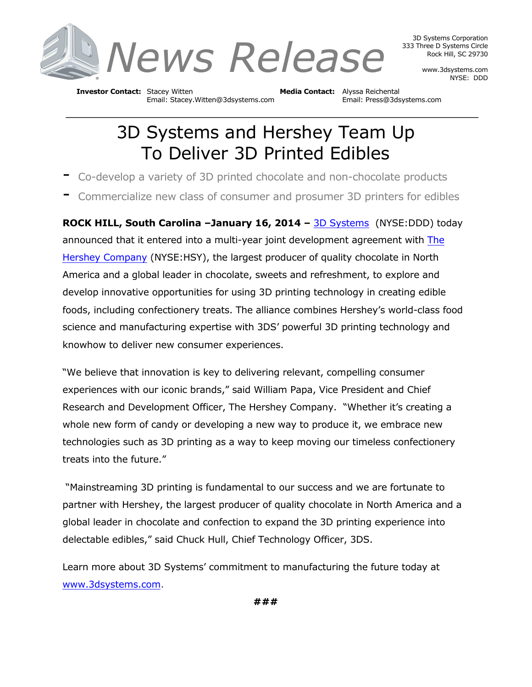

3D Systems Corporation 333 Three D Systems Circle Rock Hill, SC 29730

> www.3dsystems.com NYSE: DDD

**Investor Contact:** Stacey Witten **Media Contact:** Alyssa Reichental Email: Stacey.Witten@3dsystems.com Email: Press@3dsystems.com

## 3D Systems and Hershey Team Up To Deliver 3D Printed Edibles

- Co-develop a variety of 3D printed chocolate and non-chocolate products
- Commercialize new class of consumer and prosumer 3D printers for edibles

**ROCK HILL, South Carolina –January 16, 2014 –** 3D Systems (NYSE:DDD) today announced that it entered into a multi-year joint development agreement with The Hershey Company (NYSE:HSY), the largest producer of quality chocolate in North America and a global leader in chocolate, sweets and refreshment, to explore and develop innovative opportunities for using 3D printing technology in creating edible foods, including confectionery treats. The alliance combines Hershey's world-class food science and manufacturing expertise with 3DS' powerful 3D printing technology and knowhow to deliver new consumer experiences.

"We believe that innovation is key to delivering relevant, compelling consumer experiences with our iconic brands," said William Papa, Vice President and Chief Research and Development Officer, The Hershey Company. "Whether it's creating a whole new form of candy or developing a new way to produce it, we embrace new technologies such as 3D printing as a way to keep moving our timeless confectionery treats into the future."

"Mainstreaming 3D printing is fundamental to our success and we are fortunate to partner with Hershey, the largest producer of quality chocolate in North America and a global leader in chocolate and confection to expand the 3D printing experience into delectable edibles," said Chuck Hull, Chief Technology Officer, 3DS.

Learn more about 3D Systems' commitment to manufacturing the future today at www.3dsystems.com.

**###**